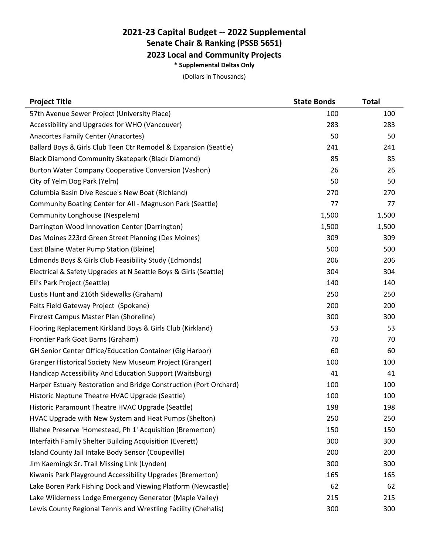## **2021-23 Capital Budget -- 2022 Supplemental Senate Chair & Ranking (PSSB 5651) 2023 Local and Community Projects \* Supplemental Deltas Only**

(Dollars in Thousands)

| <b>Project Title</b>                                              | <b>State Bonds</b> | <b>Total</b> |
|-------------------------------------------------------------------|--------------------|--------------|
| 57th Avenue Sewer Project (University Place)                      | 100                | 100          |
| Accessibility and Upgrades for WHO (Vancouver)                    | 283                | 283          |
| Anacortes Family Center (Anacortes)                               | 50                 | 50           |
| Ballard Boys & Girls Club Teen Ctr Remodel & Expansion (Seattle)  | 241                | 241          |
| Black Diamond Community Skatepark (Black Diamond)                 | 85                 | 85           |
| Burton Water Company Cooperative Conversion (Vashon)              | 26                 | 26           |
| City of Yelm Dog Park (Yelm)                                      | 50                 | 50           |
| Columbia Basin Dive Rescue's New Boat (Richland)                  | 270                | 270          |
| Community Boating Center for All - Magnuson Park (Seattle)        | 77                 | 77           |
| Community Longhouse (Nespelem)                                    | 1,500              | 1,500        |
| Darrington Wood Innovation Center (Darrington)                    | 1,500              | 1,500        |
| Des Moines 223rd Green Street Planning (Des Moines)               | 309                | 309          |
| East Blaine Water Pump Station (Blaine)                           | 500                | 500          |
| Edmonds Boys & Girls Club Feasibility Study (Edmonds)             | 206                | 206          |
| Electrical & Safety Upgrades at N Seattle Boys & Girls (Seattle)  | 304                | 304          |
| Eli's Park Project (Seattle)                                      | 140                | 140          |
| Eustis Hunt and 216th Sidewalks (Graham)                          | 250                | 250          |
| Felts Field Gateway Project (Spokane)                             | 200                | 200          |
| Fircrest Campus Master Plan (Shoreline)                           | 300                | 300          |
| Flooring Replacement Kirkland Boys & Girls Club (Kirkland)        | 53                 | 53           |
| Frontier Park Goat Barns (Graham)                                 | 70                 | 70           |
| <b>GH Senior Center Office/Education Container (Gig Harbor)</b>   | 60                 | 60           |
| Granger Historical Society New Museum Project (Granger)           | 100                | 100          |
| Handicap Accessibility And Education Support (Waitsburg)          | 41                 | 41           |
| Harper Estuary Restoration and Bridge Construction (Port Orchard) | 100                | 100          |
| Historic Neptune Theatre HVAC Upgrade (Seattle)                   | 100                | 100          |
| Historic Paramount Theatre HVAC Upgrade (Seattle)                 | 198                | 198          |
| HVAC Upgrade with New System and Heat Pumps (Shelton)             | 250                | 250          |
| Illahee Preserve 'Homestead, Ph 1' Acquisition (Bremerton)        | 150                | 150          |
| Interfaith Family Shelter Building Acquisition (Everett)          | 300                | 300          |
| Island County Jail Intake Body Sensor (Coupeville)                | 200                | 200          |
| Jim Kaemingk Sr. Trail Missing Link (Lynden)                      | 300                | 300          |
| Kiwanis Park Playground Accessibility Upgrades (Bremerton)        | 165                | 165          |
| Lake Boren Park Fishing Dock and Viewing Platform (Newcastle)     | 62                 | 62           |
| Lake Wilderness Lodge Emergency Generator (Maple Valley)          | 215                | 215          |
| Lewis County Regional Tennis and Wrestling Facility (Chehalis)    | 300                | 300          |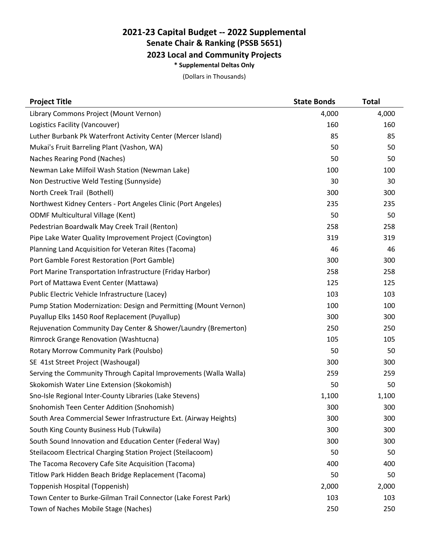## **2021-23 Capital Budget -- 2022 Supplemental Senate Chair & Ranking (PSSB 5651) 2023 Local and Community Projects \* Supplemental Deltas Only**

(Dollars in Thousands)

| <b>Project Title</b>                                             | <b>State Bonds</b> | <b>Total</b> |
|------------------------------------------------------------------|--------------------|--------------|
| Library Commons Project (Mount Vernon)                           | 4,000              | 4,000        |
| Logistics Facility (Vancouver)                                   | 160                | 160          |
| Luther Burbank Pk Waterfront Activity Center (Mercer Island)     | 85                 | 85           |
| Mukai's Fruit Barreling Plant (Vashon, WA)                       | 50                 | 50           |
| Naches Rearing Pond (Naches)                                     | 50                 | 50           |
| Newman Lake Milfoil Wash Station (Newman Lake)                   | 100                | 100          |
| Non Destructive Weld Testing (Sunnyside)                         | 30                 | 30           |
| North Creek Trail (Bothell)                                      | 300                | 300          |
| Northwest Kidney Centers - Port Angeles Clinic (Port Angeles)    | 235                | 235          |
| <b>ODMF Multicultural Village (Kent)</b>                         | 50                 | 50           |
| Pedestrian Boardwalk May Creek Trail (Renton)                    | 258                | 258          |
| Pipe Lake Water Quality Improvement Project (Covington)          | 319                | 319          |
| Planning Land Acquisition for Veteran Rites (Tacoma)             | 46                 | 46           |
| Port Gamble Forest Restoration (Port Gamble)                     | 300                | 300          |
| Port Marine Transportation Infrastructure (Friday Harbor)        | 258                | 258          |
| Port of Mattawa Event Center (Mattawa)                           | 125                | 125          |
| Public Electric Vehicle Infrastructure (Lacey)                   | 103                | 103          |
| Pump Station Modernization: Design and Permitting (Mount Vernon) | 100                | 100          |
| Puyallup Elks 1450 Roof Replacement (Puyallup)                   | 300                | 300          |
| Rejuvenation Community Day Center & Shower/Laundry (Bremerton)   | 250                | 250          |
| Rimrock Grange Renovation (Washtucna)                            | 105                | 105          |
| Rotary Morrow Community Park (Poulsbo)                           | 50                 | 50           |
| SE 41st Street Project (Washougal)                               | 300                | 300          |
| Serving the Community Through Capital Improvements (Walla Walla) | 259                | 259          |
| Skokomish Water Line Extension (Skokomish)                       | 50                 | 50           |
| Sno-Isle Regional Inter-County Libraries (Lake Stevens)          | 1,100              | 1,100        |
| Snohomish Teen Center Addition (Snohomish)                       | 300                | 300          |
| South Area Commercial Sewer Infrastructure Ext. (Airway Heights) | 300                | 300          |
| South King County Business Hub (Tukwila)                         | 300                | 300          |
| South Sound Innovation and Education Center (Federal Way)        | 300                | 300          |
| Steilacoom Electrical Charging Station Project (Steilacoom)      | 50                 | 50           |
| The Tacoma Recovery Cafe Site Acquisition (Tacoma)               | 400                | 400          |
| Titlow Park Hidden Beach Bridge Replacement (Tacoma)             | 50                 | 50           |
| Toppenish Hospital (Toppenish)                                   | 2,000              | 2,000        |
| Town Center to Burke-Gilman Trail Connector (Lake Forest Park)   | 103                | 103          |
| Town of Naches Mobile Stage (Naches)                             | 250                | 250          |